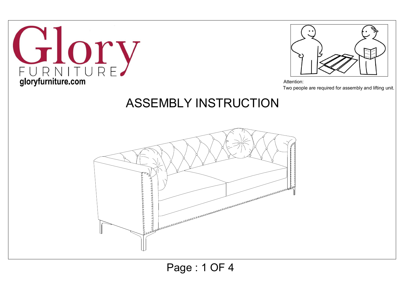



Attention: Two people are required for assembly and lifting unit.

## ASSEMBLY INSTRUCTION



Page : 1 OF 4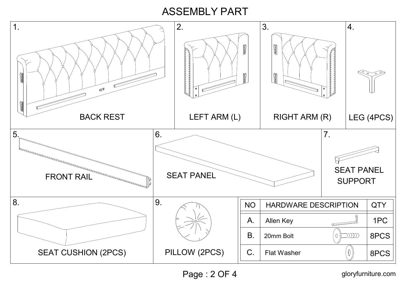## ASSEMBLY PART

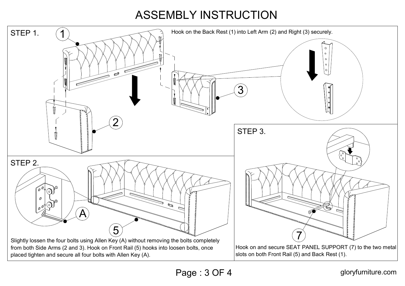## ASSEMBLY INSTRUCTION